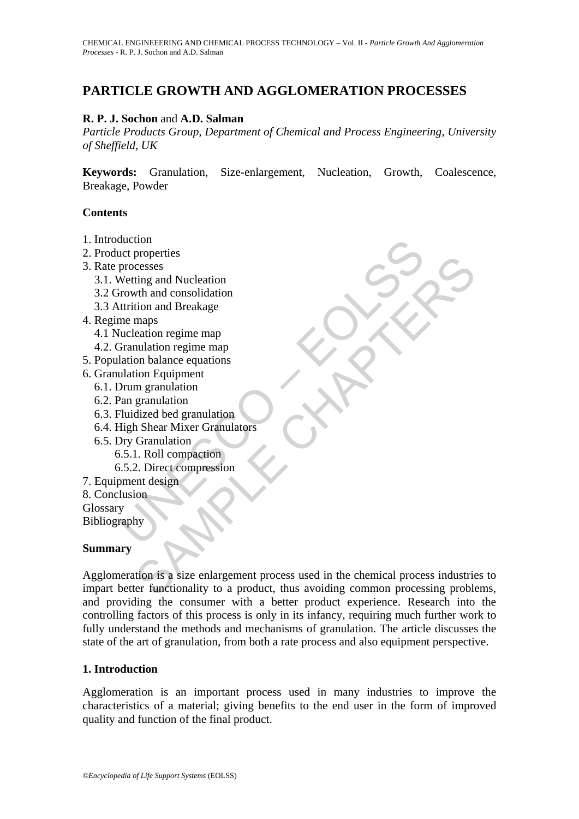# **PARTICLE GROWTH AND AGGLOMERATION PROCESSES**

### **R. P. J. Sochon** and **A.D. Salman**

*Particle Products Group, Department of Chemical and Process Engineering, University of Sheffield, UK* 

**Keywords:** Granulation, Size-enlargement, Nucleation, Growth, Coalescence, Breakage, Powder

#### **Contents**

- 1. Introduction
- 2. Product properties
- 3. Rate processes
	- 3.1. Wetting and Nucleation
	- 3.2 Growth and consolidation
	- 3.3 Attrition and Breakage
- 4. Regime maps
	- 4.1 Nucleation regime map
	- 4.2. Granulation regime map
- 5. Population balance equations
- 6. Granulation Equipment
	- 6.1. Drum granulation
	- 6.2. Pan granulation
	- 6.3. Fluidized bed granulation
	- 6.4. High Shear Mixer Granulators
- State properties<br>processes<br>processes<br>processes<br>Netting and Nucleation<br>irowth and consolidation<br>turition and Breakage<br>me maps<br>Tranulation regime map<br>Tranulation Equipment<br>Duan granulation<br>An granulation<br>Tigh Shear Mixer Gra 6.5. Dry Granulation 6.5.1. Roll compaction 6.5.2. Direct compression
- 7. Equipment design
- 8. Conclusion
- Glossary

Bibliography

#### **Summary**

proposed<br>
crosses<br>
crosses<br>
ting and Nucleation<br>
wth and consolidation<br>
maps<br>
eation regime map<br>
maps<br>
eation regime map<br>
maparulation<br>
in balance equations<br>
on balance are maturity<br>
of practice of granulation<br>
Shear Mixer Agglomeration is a size enlargement process used in the chemical process industries to impart better functionality to a product, thus avoiding common processing problems, and providing the consumer with a better product experience. Research into the controlling factors of this process is only in its infancy, requiring much further work to fully understand the methods and mechanisms of granulation. The article discusses the state of the art of granulation, from both a rate process and also equipment perspective.

#### **1. Introduction**

Agglomeration is an important process used in many industries to improve the characteristics of a material; giving benefits to the end user in the form of improved quality and function of the final product.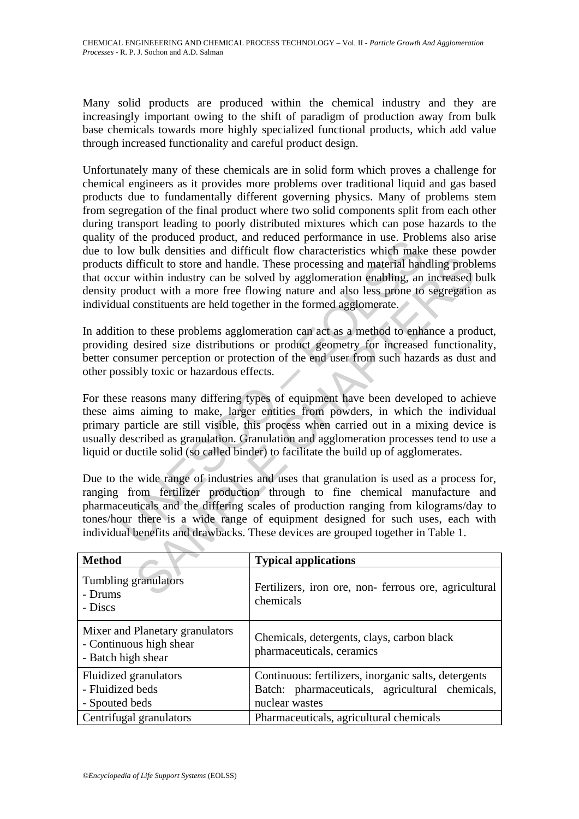Many solid products are produced within the chemical industry and they are increasingly important owing to the shift of paradigm of production away from bulk base chemicals towards more highly specialized functional products, which add value through increased functionality and careful product design.

of the potoace plotter, and reated performance in use. From the poton blow bulk densities and difficult flow characteristics which makes difficult to store and handle. These processing and material han ur within industry c Unfortunately many of these chemicals are in solid form which proves a challenge for chemical engineers as it provides more problems over traditional liquid and gas based products due to fundamentally different governing physics. Many of problems stem from segregation of the final product where two solid components split from each other during transport leading to poorly distributed mixtures which can pose hazards to the quality of the produced product, and reduced performance in use. Problems also arise due to low bulk densities and difficult flow characteristics which make these powder products difficult to store and handle. These processing and material handling problems that occur within industry can be solved by agglomeration enabling, an increased bulk density product with a more free flowing nature and also less prone to segregation as individual constituents are held together in the formed agglomerate.

In addition to these problems agglomeration can act as a method to enhance a product, providing desired size distributions or product geometry for increased functionality, better consumer perception or protection of the end user from such hazards as dust and other possibly toxic or hazardous effects.

ifficult to store and handle. These processing and material handling problem<br>fificult to store and handle. These processing and material handling problem<br>thin industry can be solved by agglomeration enabling, an increased<br> For these reasons many differing types of equipment have been developed to achieve these aims aiming to make, larger entities from powders, in which the individual primary particle are still visible, this process when carried out in a mixing device is usually described as granulation. Granulation and agglomeration processes tend to use a liquid or ductile solid (so called binder) to facilitate the build up of agglomerates.

Due to the wide range of industries and uses that granulation is used as a process for, ranging from fertilizer production through to fine chemical manufacture and pharmaceuticals and the differing scales of production ranging from kilograms/day to tones/hour there is a wide range of equipment designed for such uses, each with individual benefits and drawbacks. These devices are grouped together in Table 1.

| <b>Method</b>                                                                    | <b>Typical applications</b>                                             |
|----------------------------------------------------------------------------------|-------------------------------------------------------------------------|
| Tumbling granulators<br>- Drums<br>- Discs                                       | Fertilizers, iron ore, non-ferrous ore, agricultural<br>chemicals       |
| Mixer and Planetary granulators<br>- Continuous high shear<br>- Batch high shear | Chemicals, detergents, clays, carbon black<br>pharmaceuticals, ceramics |
| Fluidized granulators                                                            | Continuous: fertilizers, inorganic salts, detergents                    |
| - Fluidized beds                                                                 | Batch: pharmaceuticals, agricultural chemicals,                         |
| - Spouted beds                                                                   | nuclear wastes                                                          |
| Centrifugal granulators                                                          | Pharmaceuticals, agricultural chemicals                                 |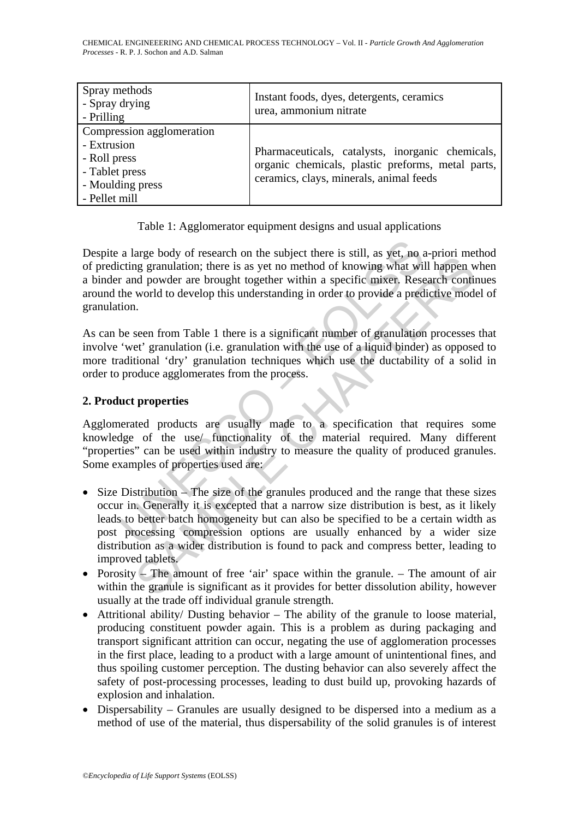CHEMICAL ENGINEEERING AND CHEMICAL PROCESS TECHNOLOGY – Vol. II - *Particle Growth And Agglomeration Processes* - R. P. J. Sochon and A.D. Salman

| Spray methods<br>- Spray drying<br>- Prilling                                                                   | Instant foods, dyes, detergents, ceramics<br>urea, ammonium nitrate                                                                              |
|-----------------------------------------------------------------------------------------------------------------|--------------------------------------------------------------------------------------------------------------------------------------------------|
| Compression agglomeration<br>- Extrusion<br>- Roll press<br>- Tablet press<br>- Moulding press<br>- Pellet mill | Pharmaceuticals, catalysts, inorganic chemicals,<br>organic chemicals, plastic preforms, metal parts,<br>ceramics, clays, minerals, animal feeds |

|  | Table 1: Agglomerator equipment designs and usual applications |  |  |  |  |
|--|----------------------------------------------------------------|--|--|--|--|
|  |                                                                |  |  |  |  |
|  |                                                                |  |  |  |  |

a large body of research on the subject there is still, as yet, no a<br>citing granulation; there is as yet no method of knowing what wil<br>r and powder are brought together within a specific mixer. Rese<br>the world to develop th Despite a large body of research on the subject there is still, as yet, no a-priori method of predicting granulation; there is as yet no method of knowing what will happen when a binder and powder are brought together within a specific mixer. Research continues around the world to develop this understanding in order to provide a predictive model of granulation.

As can be seen from Table 1 there is a significant number of granulation processes that involve 'wet' granulation (i.e. granulation with the use of a liquid binder) as opposed to more traditional 'dry' granulation techniques which use the ductability of a solid in order to produce agglomerates from the process.

### **2. Product properties**

Agglomerated products are usually made to a specification that requires some knowledge of the use/ functionality of the material required. Many different "properties" can be used within industry to measure the quality of produced granules. Some examples of properties used are:

- arge bouy of tessearch of the salignet met signals, and  $\mu$  is  $\mu$ , no  $\alpha$ -phond method of knowing what will happen with a specific mixer. Research continuous are brought together within a specific mixer. Research cont • Size Distribution – The size of the granules produced and the range that these sizes occur in. Generally it is excepted that a narrow size distribution is best, as it likely leads to better batch homogeneity but can also be specified to be a certain width as post processing compression options are usually enhanced by a wider size distribution as a wider distribution is found to pack and compress better, leading to improved tablets.
- Porosity The amount of free 'air' space within the granule. The amount of air within the granule is significant as it provides for better dissolution ability, however usually at the trade off individual granule strength.
- Attritional ability/ Dusting behavior The ability of the granule to loose material, producing constituent powder again. This is a problem as during packaging and transport significant attrition can occur, negating the use of agglomeration processes in the first place, leading to a product with a large amount of unintentional fines, and thus spoiling customer perception. The dusting behavior can also severely affect the safety of post-processing processes, leading to dust build up, provoking hazards of explosion and inhalation.
- Dispersability Granules are usually designed to be dispersed into a medium as a method of use of the material, thus dispersability of the solid granules is of interest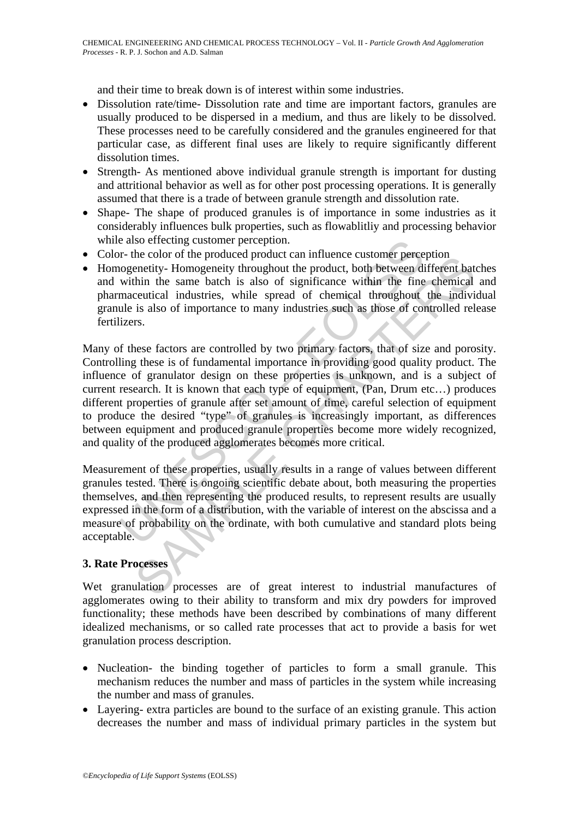and their time to break down is of interest within some industries.

- Dissolution rate/time- Dissolution rate and time are important factors, granules are usually produced to be dispersed in a medium, and thus are likely to be dissolved. These processes need to be carefully considered and the granules engineered for that particular case, as different final uses are likely to require significantly different dissolution times.
- Strength- As mentioned above individual granule strength is important for dusting and attritional behavior as well as for other post processing operations. It is generally assumed that there is a trade of between granule strength and dissolution rate.
- Shape- The shape of produced granules is of importance in some industries as it considerably influences bulk properties, such as flowablitliy and processing behavior while also effecting customer perception.
- Color- the color of the produced product can influence customer perception
- Homogenetity- Homogeneity throughout the product, both between different batches and within the same batch is also of significance within the fine chemical and pharmaceutical industries, while spread of chemical throughout the individual granule is also of importance to many industries such as those of controlled release fertilizers.

e also effecting customer perception.<br>The redivided product can influence customer perception.<br>
Oxegencity-Homogeneity throughout the product, both between divitin the same batch is also of significance within the fine<br>
ma in econo of the pototect product can immedie customer perepetion<br>enertity-Homogeneity throughout the product, both between different bat<br>thin the same batch is also of significance within the fine chemical<br>ceutical industr Many of these factors are controlled by two primary factors, that of size and porosity. Controlling these is of fundamental importance in providing good quality product. The influence of granulator design on these properties is unknown, and is a subject of current research. It is known that each type of equipment, (Pan, Drum etc…) produces different properties of granule after set amount of time, careful selection of equipment to produce the desired "type" of granules is increasingly important, as differences between equipment and produced granule properties become more widely recognized, and quality of the produced agglomerates becomes more critical.

Measurement of these properties, usually results in a range of values between different granules tested. There is ongoing scientific debate about, both measuring the properties themselves, and then representing the produced results, to represent results are usually expressed in the form of a distribution, with the variable of interest on the abscissa and a measure of probability on the ordinate, with both cumulative and standard plots being acceptable.

#### **3. Rate Processes**

Wet granulation processes are of great interest to industrial manufactures of agglomerates owing to their ability to transform and mix dry powders for improved functionality; these methods have been described by combinations of many different idealized mechanisms, or so called rate processes that act to provide a basis for wet granulation process description.

- Nucleation- the binding together of particles to form a small granule. This mechanism reduces the number and mass of particles in the system while increasing the number and mass of granules.
- Layering- extra particles are bound to the surface of an existing granule. This action decreases the number and mass of individual primary particles in the system but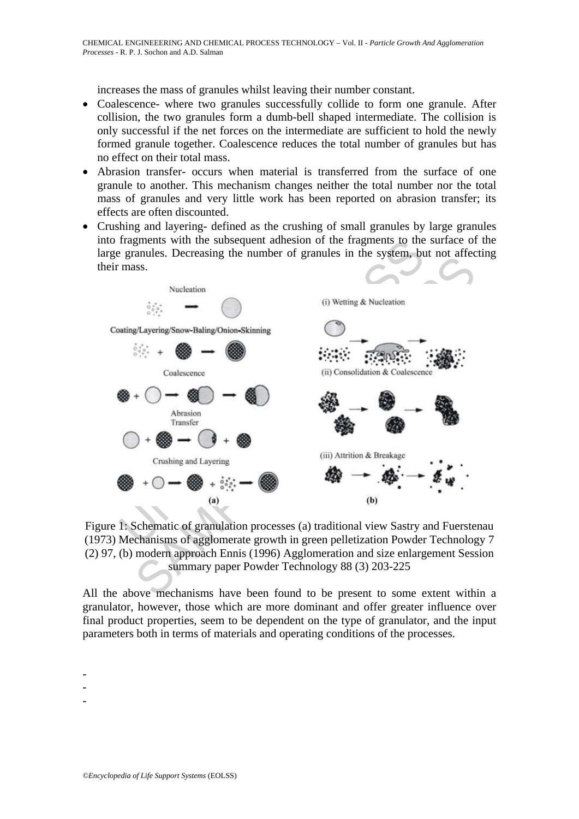increases the mass of granules whilst leaving their number constant.

- Coalescence- where two granules successfully collide to form one granule. After collision, the two granules form a dumb-bell shaped intermediate. The collision is only successful if the net forces on the intermediate are sufficient to hold the newly formed granule together. Coalescence reduces the total number of granules but has no effect on their total mass.
- Abrasion transfer- occurs when material is transferred from the surface of one granule to another. This mechanism changes neither the total number nor the total mass of granules and very little work has been reported on abrasion transfer; its effects are often discounted.
- Crushing and layering- defined as the crushing of small granules by large granules into fragments with the subsequent adhesion of the fragments to the surface of the large granules. Decreasing the number of granules in the system, but not affecting their mass.



Figure 1: Schematic of granulation processes (a) traditional view Sastry and Fuerstenau (1973) Mechanisms of agglomerate growth in green pelletization Powder Technology 7 (2) 97, (b) modern approach Ennis (1996) Agglomeration and size enlargement Session summary paper Powder Technology 88 (3) 203-225

All the above mechanisms have been found to be present to some extent within a granulator, however, those which are more dominant and offer greater influence over final product properties, seem to be dependent on the type of granulator, and the input parameters both in terms of materials and operating conditions of the processes.

-

- -
- -